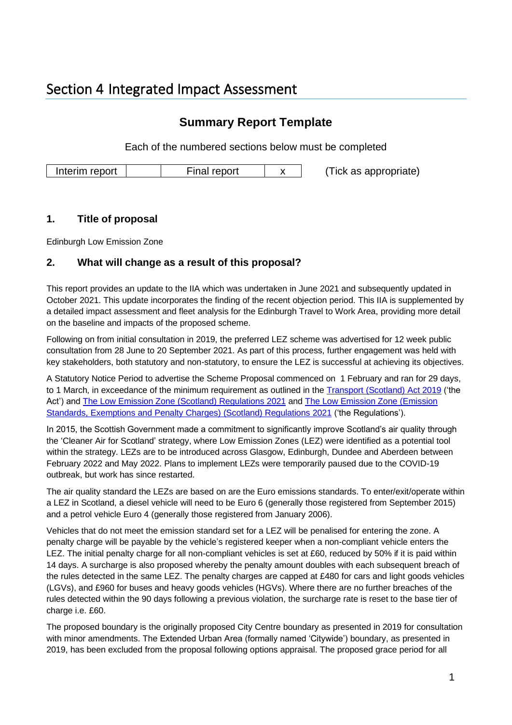# Section 4 Integrated Impact Assessment

# **Summary Report Template**

Each of the numbered sections below must be completed

Interim report  $\begin{vmatrix} \cdot & \cdot & \cdot \\ \cdot & \cdot & \cdot \\ \cdot & \cdot & \cdot \end{vmatrix}$  Tick as appropriate)

## **1. Title of proposal**

Edinburgh Low Emission Zone

## **2. What will change as a result of this proposal?**

This report provides an update to the IIA which was undertaken in June 2021 and subsequently updated in October 2021. This update incorporates the finding of the recent objection period. This IIA is supplemented by a detailed impact assessment and fleet analysis for the Edinburgh Travel to Work Area, providing more detail on the baseline and impacts of the proposed scheme.

Following on from initial consultation in 2019, the preferred LEZ scheme was advertised for 12 week public consultation from 28 June to 20 September 2021. As part of this process, further engagement was held with key stakeholders, both statutory and non-statutory, to ensure the LEZ is successful at achieving its objectives.

A Statutory Notice Period to advertise the Scheme Proposal commenced on 1 February and ran for 29 days, to 1 March, in exceedance of the minimum requirement as outlined in th[e Transport \(Scotland\) Act 2019](https://www.legislation.gov.uk/asp/2019/17/contents/enacted) ('the Act') and [The Low Emission Zone \(Scotland\) Regulations 2021](https://www.legislation.gov.uk/ssi/2021/26/contents/made) an[d The Low Emission Zone \(Emission](https://www.legislation.gov.uk/ssi/2021/177/contents/made)  [Standards, Exemptions and Penalty Charges\) \(Scotland\) Regulations 2021](https://www.legislation.gov.uk/ssi/2021/177/contents/made) ('the Regulations').

In 2015, the Scottish Government made a commitment to significantly improve Scotland's air quality through the 'Cleaner Air for Scotland' strategy, where Low Emission Zones (LEZ) were identified as a potential tool within the strategy. LEZs are to be introduced across Glasgow, Edinburgh, Dundee and Aberdeen between February 2022 and May 2022. Plans to implement LEZs were temporarily paused due to the COVID-19 outbreak, but work has since restarted.

The air quality standard the LEZs are based on are the Euro emissions standards. To enter/exit/operate within a LEZ in Scotland, a diesel vehicle will need to be Euro 6 (generally those registered from September 2015) and a petrol vehicle Euro 4 (generally those registered from January 2006).

Vehicles that do not meet the emission standard set for a LEZ will be penalised for entering the zone. A penalty charge will be payable by the vehicle's registered keeper when a non-compliant vehicle enters the LEZ. The initial penalty charge for all non-compliant vehicles is set at £60, reduced by 50% if it is paid within 14 days. A surcharge is also proposed whereby the penalty amount doubles with each subsequent breach of the rules detected in the same LEZ. The penalty charges are capped at £480 for cars and light goods vehicles (LGVs), and £960 for buses and heavy goods vehicles (HGVs). Where there are no further breaches of the rules detected within the 90 days following a previous violation, the surcharge rate is reset to the base tier of charge i.e. £60.

The proposed boundary is the originally proposed City Centre boundary as presented in 2019 for consultation with minor amendments. The Extended Urban Area (formally named 'Citywide') boundary, as presented in 2019, has been excluded from the proposal following options appraisal. The proposed grace period for all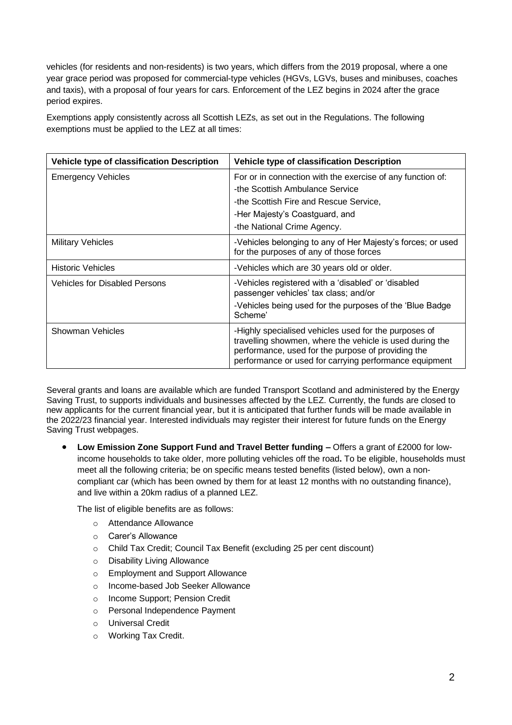vehicles (for residents and non-residents) is two years, which differs from the 2019 proposal, where a one year grace period was proposed for commercial-type vehicles (HGVs, LGVs, buses and minibuses, coaches and taxis), with a proposal of four years for cars. Enforcement of the LEZ begins in 2024 after the grace period expires.

Exemptions apply consistently across all Scottish LEZs, as set out in the Regulations. The following exemptions must be applied to the LEZ at all times:

| Vehicle type of classification Description | Vehicle type of classification Description                                                                                                                                                                                        |
|--------------------------------------------|-----------------------------------------------------------------------------------------------------------------------------------------------------------------------------------------------------------------------------------|
| <b>Emergency Vehicles</b>                  | For or in connection with the exercise of any function of:<br>-the Scottish Ambulance Service<br>-the Scottish Fire and Rescue Service,<br>-Her Majesty's Coastguard, and<br>-the National Crime Agency.                          |
| <b>Military Vehicles</b>                   | -Vehicles belonging to any of Her Majesty's forces; or used<br>for the purposes of any of those forces                                                                                                                            |
| <b>Historic Vehicles</b>                   | -Vehicles which are 30 years old or older.                                                                                                                                                                                        |
| <b>Vehicles for Disabled Persons</b>       | -Vehicles registered with a 'disabled' or 'disabled<br>passenger vehicles' tax class; and/or<br>-Vehicles being used for the purposes of the 'Blue Badge<br>Scheme'                                                               |
| Showman Vehicles                           | -Highly specialised vehicles used for the purposes of<br>travelling showmen, where the vehicle is used during the<br>performance, used for the purpose of providing the<br>performance or used for carrying performance equipment |

Several grants and loans are available which are funded Transport Scotland and administered by the Energy Saving Trust, to supports individuals and businesses affected by the LEZ. Currently, the funds are closed to new applicants for the current financial year, but it is anticipated that further funds will be made available in the 2022/23 financial year. Interested individuals may register their interest for future funds on the Energy Saving Trust webpages.

• **Low Emission Zone Support Fund and Travel Better funding –** Offers a grant of £2000 for lowincome households to take older, more polluting vehicles off the road**.** To be eligible, households must meet all the following criteria; be on specific means tested benefits (listed below), own a noncompliant car (which has been owned by them for at least 12 months with no outstanding finance), and live within a 20km radius of a planned LEZ.

The list of eligible benefits are as follows:

- o Attendance Allowance
- o Carer's Allowance
- o Child Tax Credit; Council Tax Benefit (excluding 25 per cent discount)
- o Disability Living Allowance
- o Employment and Support Allowance
- o Income-based Job Seeker Allowance
- o Income Support; Pension Credit
- o Personal Independence Payment
- o Universal Credit
- o Working Tax Credit.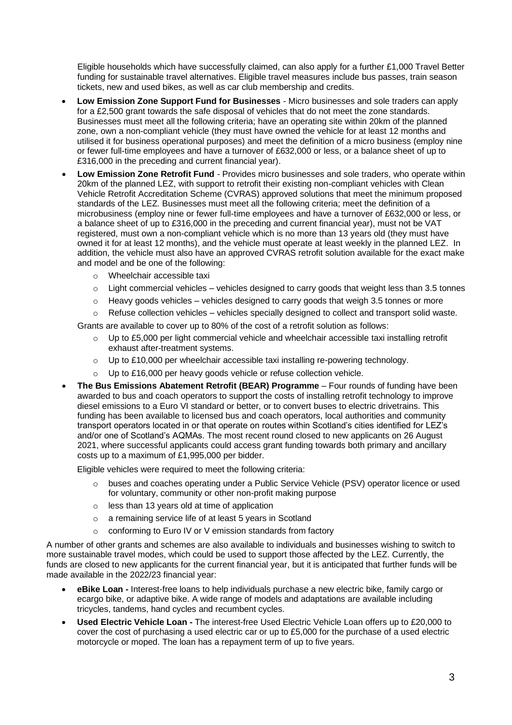Eligible households which have successfully claimed, can also apply for a further £1,000 Travel Better funding for sustainable travel alternatives. Eligible travel measures include bus passes, train season tickets, new and used bikes, as well as car club membership and credits.

- **Low Emission Zone Support Fund for Businesses** Micro businesses and sole traders can apply for a £2,500 grant towards the safe disposal of vehicles that do not meet the zone standards. Businesses must meet all the following criteria; have an operating site within 20km of the planned zone, own a non-compliant vehicle (they must have owned the vehicle for at least 12 months and utilised it for business operational purposes) and meet the definition of a micro business (employ nine or fewer full-time employees and have a turnover of £632,000 or less, or a balance sheet of up to £316,000 in the preceding and current financial year).
- **Low Emission Zone Retrofit Fund** Provides micro businesses and sole traders, who operate within 20km of the planned LEZ, with support to retrofit their existing non-compliant vehicles with Clean Vehicle Retrofit Accreditation Scheme (CVRAS) approved solutions that meet the minimum proposed standards of the LEZ. Businesses must meet all the following criteria; meet the definition of a microbusiness (employ nine or fewer full-time employees and have a turnover of £632,000 or less, or a balance sheet of up to £316,000 in the preceding and current financial year), must not be VAT registered, must own a non-compliant vehicle which is no more than 13 years old (they must have owned it for at least 12 months), and the vehicle must operate at least weekly in the planned LEZ. In addition, the vehicle must also have an approved CVRAS retrofit solution available for the exact make and model and be one of the following:
	- o Wheelchair accessible taxi
	- $\circ$  Light commercial vehicles vehicles designed to carry goods that weight less than 3.5 tonnes
	- $\circ$  Heavy goods vehicles vehicles designed to carry goods that weigh 3.5 tonnes or more
	- $\circ$  Refuse collection vehicles vehicles specially designed to collect and transport solid waste.

Grants are available to cover up to 80% of the cost of a retrofit solution as follows:

- $\circ$  Up to £5,000 per light commercial vehicle and wheelchair accessible taxi installing retrofit exhaust after-treatment systems.
- $\circ$  Up to £10,000 per wheelchair accessible taxi installing re-powering technology.
- o Up to £16,000 per heavy goods vehicle or refuse collection vehicle.
- **The Bus Emissions Abatement Retrofit (BEAR) Programme** Four rounds of funding have been awarded to bus and coach operators to support the costs of installing retrofit technology to improve diesel emissions to a Euro VI standard or better, or to convert buses to electric drivetrains. This funding has been available to licensed bus and coach operators, local authorities and community transport operators located in or that operate on routes within Scotland's cities identified for LEZ's and/or one of Scotland's AQMAs. The most recent round closed to new applicants on 26 August 2021, where successful applicants could access grant funding towards both primary and ancillary costs up to a maximum of £1,995,000 per bidder.

Eligible vehicles were required to meet the following criteria:

- o buses and coaches operating under a Public Service Vehicle (PSV) operator licence or used for voluntary, community or other non-profit making purpose
- $\circ$  less than 13 years old at time of application
- o a remaining service life of at least 5 years in Scotland
- o conforming to Euro IV or V emission standards from factory

A number of other grants and schemes are also available to individuals and businesses wishing to switch to more sustainable travel modes, which could be used to support those affected by the LEZ. Currently, the funds are closed to new applicants for the current financial year, but it is anticipated that further funds will be made available in the 2022/23 financial year:

- **eBike Loan -** Interest-free loans to help individuals purchase a new electric bike, family cargo or ecargo bike, or adaptive bike. A wide range of models and adaptations are available including tricycles, tandems, hand cycles and recumbent cycles.
- **Used Electric Vehicle Loan -** The interest-free Used Electric Vehicle Loan offers up to £20,000 to cover the cost of purchasing a used electric car or up to £5,000 for the purchase of a used electric motorcycle or moped. The loan has a repayment term of up to five years.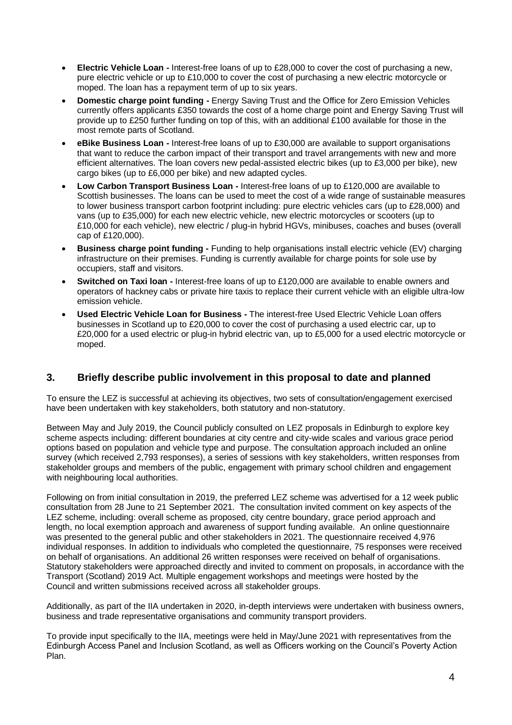- **Electric Vehicle Loan -** Interest-free loans of up to £28,000 to cover the cost of purchasing a new, pure electric vehicle or up to £10,000 to cover the cost of purchasing a new electric motorcycle or moped. The loan has a repayment term of up to six years.
- **Domestic charge point funding -** Energy Saving Trust and the Office for Zero Emission Vehicles currently offers applicants £350 towards the cost of a home charge point and Energy Saving Trust will provide up to £250 further funding on top of this, with an additional £100 available for those in the most remote parts of Scotland.
- **eBike Business Loan -** Interest-free loans of up to £30,000 are available to support organisations that want to reduce the carbon impact of their transport and travel arrangements with new and more efficient alternatives. The loan covers new pedal-assisted electric bikes (up to £3,000 per bike), new cargo bikes (up to £6,000 per bike) and new adapted cycles.
- **Low Carbon Transport Business Loan -** Interest-free loans of up to £120,000 are available to Scottish businesses. The loans can be used to meet the cost of a wide range of sustainable measures to lower business transport carbon footprint including: pure electric vehicles cars (up to £28,000) and vans (up to £35,000) for each new electric vehicle, new electric motorcycles or scooters (up to £10,000 for each vehicle), new electric / plug-in hybrid HGVs, minibuses, coaches and buses (overall cap of £120,000).
- **Business charge point funding -** Funding to help organisations install electric vehicle (EV) charging infrastructure on their premises. Funding is currently available for charge points for sole use by occupiers, staff and visitors.
- **Switched on Taxi loan -** Interest-free loans of up to £120,000 are available to enable owners and operators of hackney cabs or private hire taxis to replace their current vehicle with an eligible ultra-low emission vehicle.
- **Used Electric Vehicle Loan for Business -** The interest-free Used Electric Vehicle Loan offers businesses in Scotland up to £20,000 to cover the cost of purchasing a used electric car, up to £20,000 for a used electric or plug-in hybrid electric van, up to £5,000 for a used electric motorcycle or moped.

### **3. Briefly describe public involvement in this proposal to date and planned**

To ensure the LEZ is successful at achieving its objectives, two sets of consultation/engagement exercised have been undertaken with key stakeholders, both statutory and non-statutory.

Between May and July 2019, the Council publicly consulted on LEZ proposals in Edinburgh to explore key scheme aspects including: different boundaries at city centre and city-wide scales and various grace period options based on population and vehicle type and purpose. The consultation approach included an online survey (which received 2,793 responses), a series of sessions with key stakeholders, written responses from stakeholder groups and members of the public, engagement with primary school children and engagement with neighbouring local authorities.

Following on from initial consultation in 2019, the preferred LEZ scheme was advertised for a 12 week public consultation from 28 June to 21 September 2021. The consultation invited comment on key aspects of the LEZ scheme, including: overall scheme as proposed, city centre boundary, grace period approach and length, no local exemption approach and awareness of support funding available. An online questionnaire was presented to the general public and other stakeholders in 2021. The questionnaire received 4,976 individual responses. In addition to individuals who completed the questionnaire, 75 responses were received on behalf of organisations. An additional 26 written responses were received on behalf of organisations. Statutory stakeholders were approached directly and invited to comment on proposals, in accordance with the Transport (Scotland) 2019 Act. Multiple engagement workshops and meetings were hosted by the Council and written submissions received across all stakeholder groups.

Additionally, as part of the IIA undertaken in 2020, in-depth interviews were undertaken with business owners, business and trade representative organisations and community transport providers.

To provide input specifically to the IIA, meetings were held in May/June 2021 with representatives from the Edinburgh Access Panel and Inclusion Scotland, as well as Officers working on the Council's Poverty Action Plan.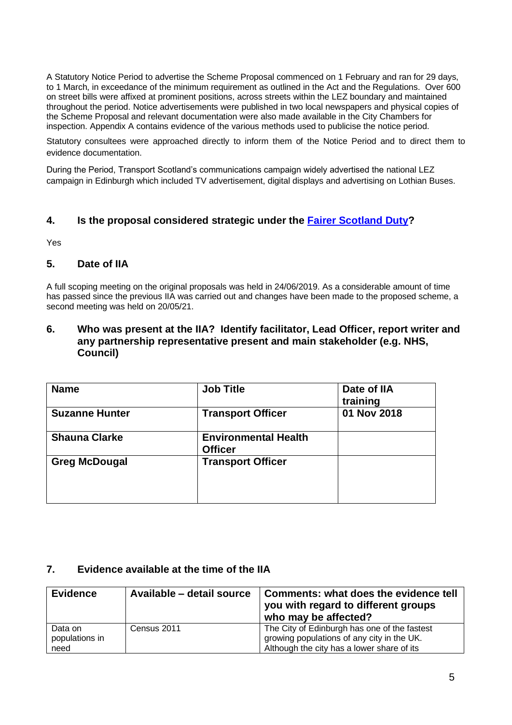A Statutory Notice Period to advertise the Scheme Proposal commenced on 1 February and ran for 29 days, to 1 March, in exceedance of the minimum requirement as outlined in the Act and the Regulations. Over 600 on street bills were affixed at prominent positions, across streets within the LEZ boundary and maintained throughout the period. Notice advertisements were published in two local newspapers and physical copies of the Scheme Proposal and relevant documentation were also made available in the City Chambers for inspection. Appendix A contains evidence of the various methods used to publicise the notice period.

Statutory consultees were approached directly to inform them of the Notice Period and to direct them to evidence documentation.

During the Period, Transport Scotland's communications campaign widely advertised the national LEZ campaign in Edinburgh which included TV advertisement, digital displays and advertising on Lothian Buses.

### **4. Is the proposal considered strategic under the [Fairer Scotland Duty?](https://www.gov.scot/publications/fairer-scotland-duty-interim-guidance-public-bodies/)**

Yes

### **5. Date of IIA**

A full scoping meeting on the original proposals was held in 24/06/2019. As a considerable amount of time has passed since the previous IIA was carried out and changes have been made to the proposed scheme, a second meeting was held on 20/05/21.

#### **6. Who was present at the IIA? Identify facilitator, Lead Officer, report writer and any partnership representative present and main stakeholder (e.g. NHS, Council)**

| <b>Name</b>           | <b>Job Title</b>                              | Date of IIA<br>training |
|-----------------------|-----------------------------------------------|-------------------------|
| <b>Suzanne Hunter</b> | <b>Transport Officer</b>                      | 01 Nov 2018             |
| <b>Shauna Clarke</b>  | <b>Environmental Health</b><br><b>Officer</b> |                         |
| <b>Greg McDougal</b>  | <b>Transport Officer</b>                      |                         |

### **7. Evidence available at the time of the IIA**

| <b>Evidence</b> | Available – detail source | Comments: what does the evidence tell<br>you with regard to different groups<br>who may be affected? |
|-----------------|---------------------------|------------------------------------------------------------------------------------------------------|
| Data on         | Census 2011               | The City of Edinburgh has one of the fastest                                                         |
| populations in  |                           | growing populations of any city in the UK.                                                           |
| need            |                           | Although the city has a lower share of its                                                           |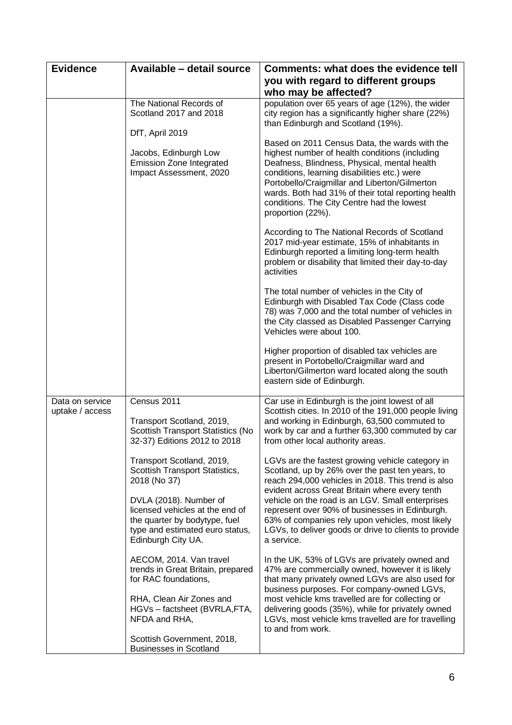| <b>Evidence</b>                    | Available - detail source                                                                                                                           | Comments: what does the evidence tell                                                                                                                                                                                                                                                                                     |
|------------------------------------|-----------------------------------------------------------------------------------------------------------------------------------------------------|---------------------------------------------------------------------------------------------------------------------------------------------------------------------------------------------------------------------------------------------------------------------------------------------------------------------------|
|                                    |                                                                                                                                                     | you with regard to different groups                                                                                                                                                                                                                                                                                       |
|                                    |                                                                                                                                                     | who may be affected?                                                                                                                                                                                                                                                                                                      |
|                                    | The National Records of<br>Scotland 2017 and 2018                                                                                                   | population over 65 years of age (12%), the wider<br>city region has a significantly higher share (22%)<br>than Edinburgh and Scotland (19%).                                                                                                                                                                              |
|                                    | DfT, April 2019                                                                                                                                     | Based on 2011 Census Data, the wards with the                                                                                                                                                                                                                                                                             |
|                                    | Jacobs, Edinburgh Low<br><b>Emission Zone Integrated</b><br>Impact Assessment, 2020                                                                 | highest number of health conditions (including<br>Deafness, Blindness, Physical, mental health<br>conditions, learning disabilities etc.) were<br>Portobello/Craigmillar and Liberton/Gilmerton<br>wards. Both had 31% of their total reporting health<br>conditions. The City Centre had the lowest<br>proportion (22%). |
|                                    |                                                                                                                                                     | According to The National Records of Scotland<br>2017 mid-year estimate, 15% of inhabitants in<br>Edinburgh reported a limiting long-term health<br>problem or disability that limited their day-to-day<br>activities                                                                                                     |
|                                    |                                                                                                                                                     | The total number of vehicles in the City of<br>Edinburgh with Disabled Tax Code (Class code<br>78) was 7,000 and the total number of vehicles in<br>the City classed as Disabled Passenger Carrying<br>Vehicles were about 100.                                                                                           |
|                                    |                                                                                                                                                     | Higher proportion of disabled tax vehicles are<br>present in Portobello/Craigmillar ward and<br>Liberton/Gilmerton ward located along the south<br>eastern side of Edinburgh.                                                                                                                                             |
| Data on service<br>uptake / access | Census 2011<br>Transport Scotland, 2019,<br><b>Scottish Transport Statistics (No</b><br>32-37) Editions 2012 to 2018                                | Car use in Edinburgh is the joint lowest of all<br>Scottish cities. In 2010 of the 191,000 people living<br>and working in Edinburgh, 63,500 commuted to<br>work by car and a further 63,300 commuted by car<br>from other local authority areas.                                                                         |
|                                    | Transport Scotland, 2019,<br>Scottish Transport Statistics,<br>2018 (No 37)                                                                         | LGVs are the fastest growing vehicle category in<br>Scotland, up by 26% over the past ten years, to<br>reach 294,000 vehicles in 2018. This trend is also<br>evident across Great Britain where every tenth                                                                                                               |
|                                    | DVLA (2018). Number of<br>licensed vehicles at the end of<br>the quarter by bodytype, fuel<br>type and estimated euro status,<br>Edinburgh City UA. | vehicle on the road is an LGV. Small enterprises<br>represent over 90% of businesses in Edinburgh.<br>63% of companies rely upon vehicles, most likely<br>LGVs, to deliver goods or drive to clients to provide<br>a service.                                                                                             |
|                                    | AECOM, 2014. Van travel<br>trends in Great Britain, prepared<br>for RAC foundations,                                                                | In the UK, 53% of LGVs are privately owned and<br>47% are commercially owned, however it is likely<br>that many privately owned LGVs are also used for<br>business purposes. For company-owned LGVs,                                                                                                                      |
|                                    | RHA, Clean Air Zones and<br>HGVs - factsheet (BVRLA, FTA,<br>NFDA and RHA,                                                                          | most vehicle kms travelled are for collecting or<br>delivering goods (35%), while for privately owned<br>LGVs, most vehicle kms travelled are for travelling<br>to and from work.                                                                                                                                         |
|                                    | Scottish Government, 2018,<br><b>Businesses in Scotland</b>                                                                                         |                                                                                                                                                                                                                                                                                                                           |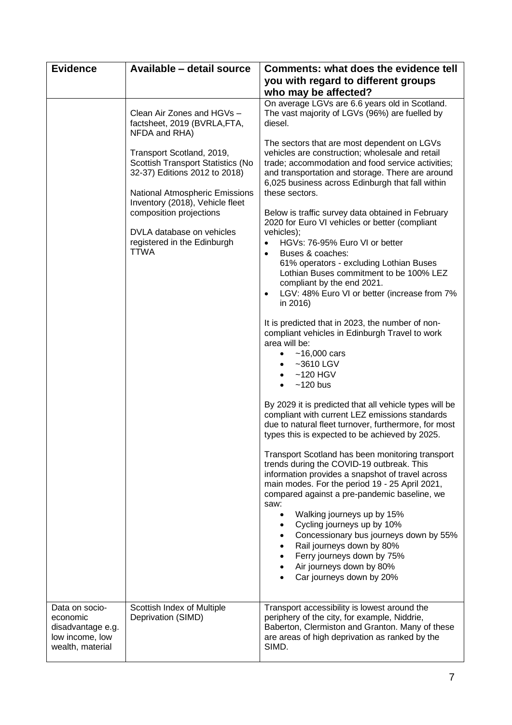| <b>Evidence</b>                                                                        | Available - detail source                                                                                                                                                                                                                                                                | Comments: what does the evidence tell                                                                                                                                                                                                                                                                                                                                                                                                                                                                                                                                                                                                                                           |
|----------------------------------------------------------------------------------------|------------------------------------------------------------------------------------------------------------------------------------------------------------------------------------------------------------------------------------------------------------------------------------------|---------------------------------------------------------------------------------------------------------------------------------------------------------------------------------------------------------------------------------------------------------------------------------------------------------------------------------------------------------------------------------------------------------------------------------------------------------------------------------------------------------------------------------------------------------------------------------------------------------------------------------------------------------------------------------|
|                                                                                        |                                                                                                                                                                                                                                                                                          | you with regard to different groups                                                                                                                                                                                                                                                                                                                                                                                                                                                                                                                                                                                                                                             |
|                                                                                        |                                                                                                                                                                                                                                                                                          | who may be affected?                                                                                                                                                                                                                                                                                                                                                                                                                                                                                                                                                                                                                                                            |
|                                                                                        | Clean Air Zones and HGVs -<br>factsheet, 2019 (BVRLA, FTA,<br>NFDA and RHA)                                                                                                                                                                                                              | On average LGVs are 6.6 years old in Scotland.<br>The vast majority of LGVs (96%) are fuelled by<br>diesel.                                                                                                                                                                                                                                                                                                                                                                                                                                                                                                                                                                     |
|                                                                                        | Transport Scotland, 2019,<br><b>Scottish Transport Statistics (No</b><br>32-37) Editions 2012 to 2018)<br><b>National Atmospheric Emissions</b><br>Inventory (2018), Vehicle fleet<br>composition projections<br>DVLA database on vehicles<br>registered in the Edinburgh<br><b>TTWA</b> | The sectors that are most dependent on LGVs<br>vehicles are construction; wholesale and retail<br>trade; accommodation and food service activities;<br>and transportation and storage. There are around<br>6,025 business across Edinburgh that fall within<br>these sectors.<br>Below is traffic survey data obtained in February<br>2020 for Euro VI vehicles or better (compliant<br>vehicles);<br>HGVs: 76-95% Euro VI or better<br>$\bullet$<br>Buses & coaches:<br>$\bullet$<br>61% operators - excluding Lothian Buses<br>Lothian Buses commitment to be 100% LEZ<br>compliant by the end 2021.<br>LGV: 48% Euro VI or better (increase from 7%<br>$\bullet$<br>in 2016) |
|                                                                                        |                                                                                                                                                                                                                                                                                          | It is predicted that in 2023, the number of non-<br>compliant vehicles in Edinburgh Travel to work<br>area will be:<br>$~16,000$ cars<br>$\bullet$<br>$~5$ 610 LGV<br>$\bullet$<br>$~120$ HGV<br>$~120$ bus<br>By 2029 it is predicted that all vehicle types will be                                                                                                                                                                                                                                                                                                                                                                                                           |
|                                                                                        |                                                                                                                                                                                                                                                                                          | compliant with current LEZ emissions standards<br>due to natural fleet turnover, furthermore, for most<br>types this is expected to be achieved by 2025.                                                                                                                                                                                                                                                                                                                                                                                                                                                                                                                        |
|                                                                                        |                                                                                                                                                                                                                                                                                          | Transport Scotland has been monitoring transport<br>trends during the COVID-19 outbreak. This<br>information provides a snapshot of travel across<br>main modes. For the period 19 - 25 April 2021,<br>compared against a pre-pandemic baseline, we<br>saw:<br>Walking journeys up by 15%<br>Cycling journeys up by 10%<br>Concessionary bus journeys down by 55%<br>Rail journeys down by 80%<br>Ferry journeys down by 75%<br>Air journeys down by 80%<br>Car journeys down by 20%                                                                                                                                                                                            |
| Data on socio-<br>economic<br>disadvantage e.g.<br>low income, low<br>wealth, material | Scottish Index of Multiple<br>Deprivation (SIMD)                                                                                                                                                                                                                                         | Transport accessibility is lowest around the<br>periphery of the city, for example, Niddrie,<br>Baberton, Clermiston and Granton. Many of these<br>are areas of high deprivation as ranked by the<br>SIMD.                                                                                                                                                                                                                                                                                                                                                                                                                                                                      |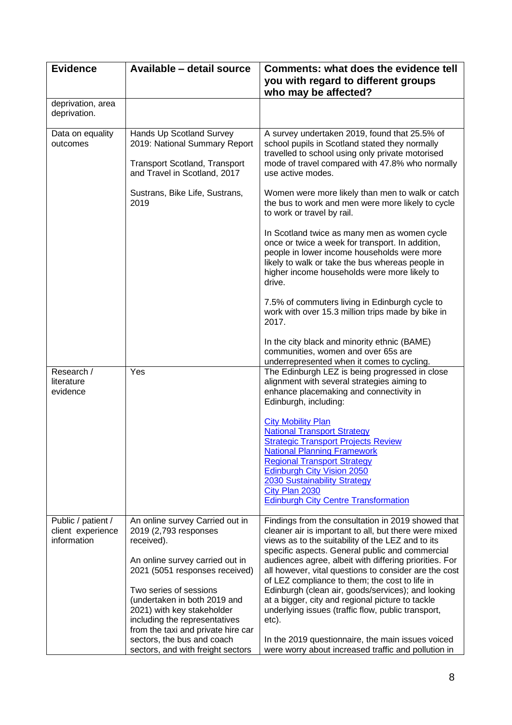| <b>Evidence</b>                                        | Available - detail source                                                                                                                                                                                                                                                                                  | Comments: what does the evidence tell<br>you with regard to different groups<br>who may be affected?                                                                                                                                                                                                                                                                                                                                                                                                                                                              |
|--------------------------------------------------------|------------------------------------------------------------------------------------------------------------------------------------------------------------------------------------------------------------------------------------------------------------------------------------------------------------|-------------------------------------------------------------------------------------------------------------------------------------------------------------------------------------------------------------------------------------------------------------------------------------------------------------------------------------------------------------------------------------------------------------------------------------------------------------------------------------------------------------------------------------------------------------------|
| deprivation, area<br>deprivation.                      |                                                                                                                                                                                                                                                                                                            |                                                                                                                                                                                                                                                                                                                                                                                                                                                                                                                                                                   |
| Data on equality<br>outcomes                           | Hands Up Scotland Survey<br>2019: National Summary Report<br><b>Transport Scotland, Transport</b><br>and Travel in Scotland, 2017                                                                                                                                                                          | A survey undertaken 2019, found that 25.5% of<br>school pupils in Scotland stated they normally<br>travelled to school using only private motorised<br>mode of travel compared with 47.8% who normally<br>use active modes.                                                                                                                                                                                                                                                                                                                                       |
|                                                        | Sustrans, Bike Life, Sustrans,<br>2019                                                                                                                                                                                                                                                                     | Women were more likely than men to walk or catch<br>the bus to work and men were more likely to cycle<br>to work or travel by rail.                                                                                                                                                                                                                                                                                                                                                                                                                               |
|                                                        |                                                                                                                                                                                                                                                                                                            | In Scotland twice as many men as women cycle<br>once or twice a week for transport. In addition,<br>people in lower income households were more<br>likely to walk or take the bus whereas people in<br>higher income households were more likely to<br>drive.                                                                                                                                                                                                                                                                                                     |
|                                                        |                                                                                                                                                                                                                                                                                                            | 7.5% of commuters living in Edinburgh cycle to<br>work with over 15.3 million trips made by bike in<br>2017.                                                                                                                                                                                                                                                                                                                                                                                                                                                      |
|                                                        |                                                                                                                                                                                                                                                                                                            | In the city black and minority ethnic (BAME)<br>communities, women and over 65s are<br>underrepresented when it comes to cycling.                                                                                                                                                                                                                                                                                                                                                                                                                                 |
| Research /<br>literature<br>evidence                   | Yes                                                                                                                                                                                                                                                                                                        | The Edinburgh LEZ is being progressed in close<br>alignment with several strategies aiming to<br>enhance placemaking and connectivity in<br>Edinburgh, including:                                                                                                                                                                                                                                                                                                                                                                                                 |
|                                                        |                                                                                                                                                                                                                                                                                                            | <b>City Mobility Plan</b><br><b>National Transport Strategy</b><br><b>Strategic Transport Projects Review</b><br><b>National Planning Framework</b><br><b>Regional Transport Strategy</b><br><b>Edinburgh City Vision 2050</b><br>2030 Sustainability Strategy<br>City Plan 2030<br><b>Edinburgh City Centre Transformation</b>                                                                                                                                                                                                                                   |
| Public / patient /<br>client experience<br>information | An online survey Carried out in<br>2019 (2,793 responses<br>received).<br>An online survey carried out in<br>2021 (5051 responses received)<br>Two series of sessions<br>(undertaken in both 2019 and<br>2021) with key stakeholder<br>including the representatives<br>from the taxi and private hire car | Findings from the consultation in 2019 showed that<br>cleaner air is important to all, but there were mixed<br>views as to the suitability of the LEZ and to its<br>specific aspects. General public and commercial<br>audiences agree, albeit with differing priorities. For<br>all however, vital questions to consider are the cost<br>of LEZ compliance to them; the cost to life in<br>Edinburgh (clean air, goods/services); and looking<br>at a bigger, city and regional picture to tackle<br>underlying issues (traffic flow, public transport,<br>etc). |
|                                                        | sectors, the bus and coach<br>sectors, and with freight sectors                                                                                                                                                                                                                                            | In the 2019 questionnaire, the main issues voiced<br>were worry about increased traffic and pollution in                                                                                                                                                                                                                                                                                                                                                                                                                                                          |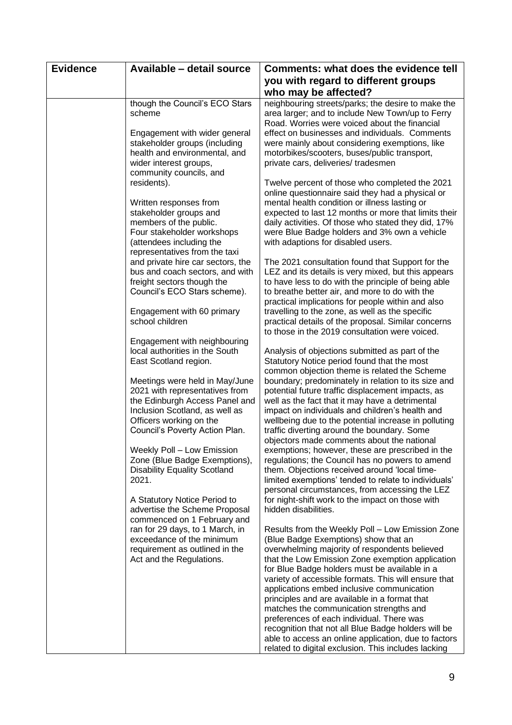| <b>Evidence</b> | Available - detail source                                                                                                                                                                                                                                                                                                                                                                                                                                                    | Comments: what does the evidence tell                                                                                                                                                                                                                                                                                                                                                                                                                                                                                                                                                                                                                                                                                                                                                                                                                                |
|-----------------|------------------------------------------------------------------------------------------------------------------------------------------------------------------------------------------------------------------------------------------------------------------------------------------------------------------------------------------------------------------------------------------------------------------------------------------------------------------------------|----------------------------------------------------------------------------------------------------------------------------------------------------------------------------------------------------------------------------------------------------------------------------------------------------------------------------------------------------------------------------------------------------------------------------------------------------------------------------------------------------------------------------------------------------------------------------------------------------------------------------------------------------------------------------------------------------------------------------------------------------------------------------------------------------------------------------------------------------------------------|
|                 |                                                                                                                                                                                                                                                                                                                                                                                                                                                                              | you with regard to different groups                                                                                                                                                                                                                                                                                                                                                                                                                                                                                                                                                                                                                                                                                                                                                                                                                                  |
|                 |                                                                                                                                                                                                                                                                                                                                                                                                                                                                              | who may be affected?                                                                                                                                                                                                                                                                                                                                                                                                                                                                                                                                                                                                                                                                                                                                                                                                                                                 |
|                 | though the Council's ECO Stars<br>scheme                                                                                                                                                                                                                                                                                                                                                                                                                                     | neighbouring streets/parks; the desire to make the<br>area larger; and to include New Town/up to Ferry<br>Road. Worries were voiced about the financial                                                                                                                                                                                                                                                                                                                                                                                                                                                                                                                                                                                                                                                                                                              |
|                 | Engagement with wider general                                                                                                                                                                                                                                                                                                                                                                                                                                                | effect on businesses and individuals. Comments                                                                                                                                                                                                                                                                                                                                                                                                                                                                                                                                                                                                                                                                                                                                                                                                                       |
|                 | stakeholder groups (including<br>health and environmental, and<br>wider interest groups,<br>community councils, and                                                                                                                                                                                                                                                                                                                                                          | were mainly about considering exemptions, like<br>motorbikes/scooters, buses/public transport,<br>private cars, deliveries/ tradesmen                                                                                                                                                                                                                                                                                                                                                                                                                                                                                                                                                                                                                                                                                                                                |
|                 | residents).                                                                                                                                                                                                                                                                                                                                                                                                                                                                  | Twelve percent of those who completed the 2021<br>online questionnaire said they had a physical or                                                                                                                                                                                                                                                                                                                                                                                                                                                                                                                                                                                                                                                                                                                                                                   |
|                 | Written responses from<br>stakeholder groups and<br>members of the public.<br>Four stakeholder workshops<br>(attendees including the<br>representatives from the taxi                                                                                                                                                                                                                                                                                                        | mental health condition or illness lasting or<br>expected to last 12 months or more that limits their<br>daily activities. Of those who stated they did, 17%<br>were Blue Badge holders and 3% own a vehicle<br>with adaptions for disabled users.                                                                                                                                                                                                                                                                                                                                                                                                                                                                                                                                                                                                                   |
|                 | and private hire car sectors, the<br>bus and coach sectors, and with<br>freight sectors though the<br>Council's ECO Stars scheme).                                                                                                                                                                                                                                                                                                                                           | The 2021 consultation found that Support for the<br>LEZ and its details is very mixed, but this appears<br>to have less to do with the principle of being able<br>to breathe better air, and more to do with the                                                                                                                                                                                                                                                                                                                                                                                                                                                                                                                                                                                                                                                     |
|                 | Engagement with 60 primary<br>school children                                                                                                                                                                                                                                                                                                                                                                                                                                | practical implications for people within and also<br>travelling to the zone, as well as the specific<br>practical details of the proposal. Similar concerns<br>to those in the 2019 consultation were voiced.                                                                                                                                                                                                                                                                                                                                                                                                                                                                                                                                                                                                                                                        |
|                 | Engagement with neighbouring<br>local authorities in the South                                                                                                                                                                                                                                                                                                                                                                                                               | Analysis of objections submitted as part of the                                                                                                                                                                                                                                                                                                                                                                                                                                                                                                                                                                                                                                                                                                                                                                                                                      |
|                 | East Scotland region.<br>Meetings were held in May/June<br>2021 with representatives from<br>the Edinburgh Access Panel and<br>Inclusion Scotland, as well as<br>Officers working on the<br>Council's Poverty Action Plan.<br>Weekly Poll - Low Emission<br>Zone (Blue Badge Exemptions),<br><b>Disability Equality Scotland</b><br>2021.<br>A Statutory Notice Period to<br>advertise the Scheme Proposal<br>commenced on 1 February and<br>ran for 29 days, to 1 March, in | Statutory Notice period found that the most<br>common objection theme is related the Scheme<br>boundary; predominately in relation to its size and<br>potential future traffic displacement impacts, as<br>well as the fact that it may have a detrimental<br>impact on individuals and children's health and<br>wellbeing due to the potential increase in polluting<br>traffic diverting around the boundary. Some<br>objectors made comments about the national<br>exemptions; however, these are prescribed in the<br>regulations; the Council has no powers to amend<br>them. Objections received around 'local time-<br>limited exemptions' tended to relate to individuals'<br>personal circumstances, from accessing the LEZ<br>for night-shift work to the impact on those with<br>hidden disabilities.<br>Results from the Weekly Poll - Low Emission Zone |
|                 | exceedance of the minimum<br>requirement as outlined in the<br>Act and the Regulations.                                                                                                                                                                                                                                                                                                                                                                                      | (Blue Badge Exemptions) show that an<br>overwhelming majority of respondents believed<br>that the Low Emission Zone exemption application<br>for Blue Badge holders must be available in a<br>variety of accessible formats. This will ensure that<br>applications embed inclusive communication<br>principles and are available in a format that<br>matches the communication strengths and<br>preferences of each individual. There was<br>recognition that not all Blue Badge holders will be<br>able to access an online application, due to factors<br>related to digital exclusion. This includes lacking                                                                                                                                                                                                                                                      |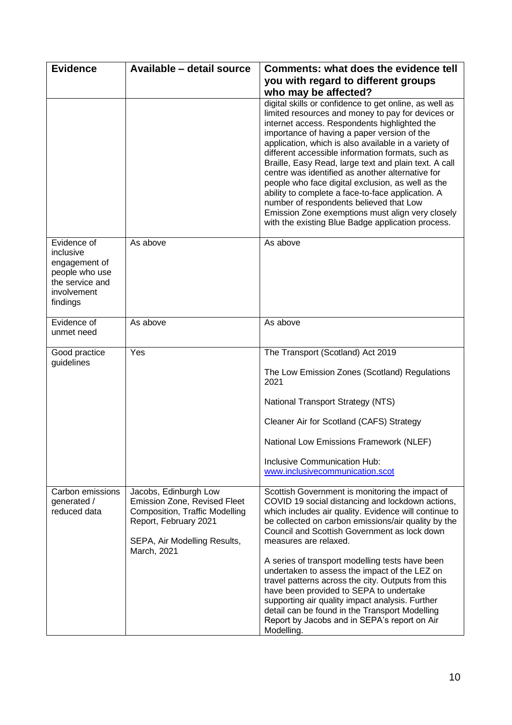| <b>Evidence</b>                                                                                           | Available - detail source                                                                                                                                              | Comments: what does the evidence tell                                                                                                                                                                                                                                                                                                                                                                                                                                                                                                                                                                                                                                                              |
|-----------------------------------------------------------------------------------------------------------|------------------------------------------------------------------------------------------------------------------------------------------------------------------------|----------------------------------------------------------------------------------------------------------------------------------------------------------------------------------------------------------------------------------------------------------------------------------------------------------------------------------------------------------------------------------------------------------------------------------------------------------------------------------------------------------------------------------------------------------------------------------------------------------------------------------------------------------------------------------------------------|
|                                                                                                           |                                                                                                                                                                        | you with regard to different groups<br>who may be affected?                                                                                                                                                                                                                                                                                                                                                                                                                                                                                                                                                                                                                                        |
|                                                                                                           |                                                                                                                                                                        | digital skills or confidence to get online, as well as<br>limited resources and money to pay for devices or<br>internet access. Respondents highlighted the<br>importance of having a paper version of the<br>application, which is also available in a variety of<br>different accessible information formats, such as<br>Braille, Easy Read, large text and plain text. A call<br>centre was identified as another alternative for<br>people who face digital exclusion, as well as the<br>ability to complete a face-to-face application. A<br>number of respondents believed that Low<br>Emission Zone exemptions must align very closely<br>with the existing Blue Badge application process. |
| Evidence of<br>inclusive<br>engagement of<br>people who use<br>the service and<br>involvement<br>findings | As above                                                                                                                                                               | As above                                                                                                                                                                                                                                                                                                                                                                                                                                                                                                                                                                                                                                                                                           |
| Evidence of<br>unmet need                                                                                 | As above                                                                                                                                                               | As above                                                                                                                                                                                                                                                                                                                                                                                                                                                                                                                                                                                                                                                                                           |
| Good practice<br>guidelines                                                                               | Yes                                                                                                                                                                    | The Transport (Scotland) Act 2019<br>The Low Emission Zones (Scotland) Regulations<br>2021                                                                                                                                                                                                                                                                                                                                                                                                                                                                                                                                                                                                         |
|                                                                                                           |                                                                                                                                                                        | <b>National Transport Strategy (NTS)</b>                                                                                                                                                                                                                                                                                                                                                                                                                                                                                                                                                                                                                                                           |
|                                                                                                           |                                                                                                                                                                        | Cleaner Air for Scotland (CAFS) Strategy                                                                                                                                                                                                                                                                                                                                                                                                                                                                                                                                                                                                                                                           |
|                                                                                                           |                                                                                                                                                                        | National Low Emissions Framework (NLEF)                                                                                                                                                                                                                                                                                                                                                                                                                                                                                                                                                                                                                                                            |
|                                                                                                           |                                                                                                                                                                        | Inclusive Communication Hub:<br>www.inclusivecommunication.scot                                                                                                                                                                                                                                                                                                                                                                                                                                                                                                                                                                                                                                    |
| Carbon emissions<br>generated /<br>reduced data                                                           | Jacobs, Edinburgh Low<br>Emission Zone, Revised Fleet<br><b>Composition, Traffic Modelling</b><br>Report, February 2021<br>SEPA, Air Modelling Results,<br>March, 2021 | Scottish Government is monitoring the impact of<br>COVID 19 social distancing and lockdown actions,<br>which includes air quality. Evidence will continue to<br>be collected on carbon emissions/air quality by the<br>Council and Scottish Government as lock down<br>measures are relaxed.                                                                                                                                                                                                                                                                                                                                                                                                       |
|                                                                                                           |                                                                                                                                                                        | A series of transport modelling tests have been<br>undertaken to assess the impact of the LEZ on<br>travel patterns across the city. Outputs from this<br>have been provided to SEPA to undertake<br>supporting air quality impact analysis. Further<br>detail can be found in the Transport Modelling<br>Report by Jacobs and in SEPA's report on Air<br>Modelling.                                                                                                                                                                                                                                                                                                                               |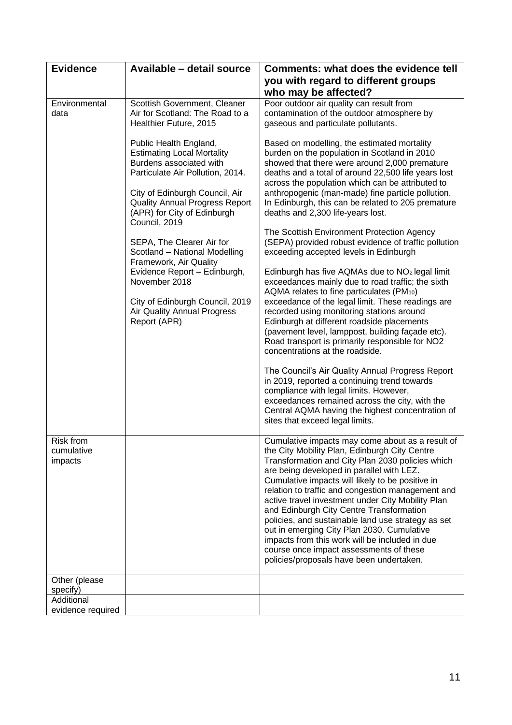| <b>Evidence</b>                    | Available - detail source                                                                                                                                                                                                                             | Comments: what does the evidence tell                                                                                                                                                                                                                                                                                                                                                                                                                                                                                                                                                                                                                     |
|------------------------------------|-------------------------------------------------------------------------------------------------------------------------------------------------------------------------------------------------------------------------------------------------------|-----------------------------------------------------------------------------------------------------------------------------------------------------------------------------------------------------------------------------------------------------------------------------------------------------------------------------------------------------------------------------------------------------------------------------------------------------------------------------------------------------------------------------------------------------------------------------------------------------------------------------------------------------------|
|                                    |                                                                                                                                                                                                                                                       | you with regard to different groups<br>who may be affected?                                                                                                                                                                                                                                                                                                                                                                                                                                                                                                                                                                                               |
| Environmental                      | Scottish Government, Cleaner                                                                                                                                                                                                                          | Poor outdoor air quality can result from                                                                                                                                                                                                                                                                                                                                                                                                                                                                                                                                                                                                                  |
| data                               | Air for Scotland: The Road to a<br>Healthier Future, 2015                                                                                                                                                                                             | contamination of the outdoor atmosphere by<br>gaseous and particulate pollutants.                                                                                                                                                                                                                                                                                                                                                                                                                                                                                                                                                                         |
|                                    | Public Health England,<br><b>Estimating Local Mortality</b><br>Burdens associated with<br>Particulate Air Pollution, 2014.<br>City of Edinburgh Council, Air<br><b>Quality Annual Progress Report</b><br>(APR) for City of Edinburgh<br>Council, 2019 | Based on modelling, the estimated mortality<br>burden on the population in Scotland in 2010<br>showed that there were around 2,000 premature<br>deaths and a total of around 22,500 life years lost<br>across the population which can be attributed to<br>anthropogenic (man-made) fine particle pollution.<br>In Edinburgh, this can be related to 205 premature<br>deaths and 2,300 life-years lost.                                                                                                                                                                                                                                                   |
|                                    | SEPA, The Clearer Air for<br>Scotland - National Modelling                                                                                                                                                                                            | The Scottish Environment Protection Agency<br>(SEPA) provided robust evidence of traffic pollution<br>exceeding accepted levels in Edinburgh                                                                                                                                                                                                                                                                                                                                                                                                                                                                                                              |
|                                    | Framework, Air Quality<br>Evidence Report - Edinburgh,<br>November 2018                                                                                                                                                                               | Edinburgh has five AQMAs due to NO <sub>2</sub> legal limit<br>exceedances mainly due to road traffic; the sixth<br>AQMA relates to fine particulates (PM10)                                                                                                                                                                                                                                                                                                                                                                                                                                                                                              |
|                                    | City of Edinburgh Council, 2019<br>Air Quality Annual Progress<br>Report (APR)                                                                                                                                                                        | exceedance of the legal limit. These readings are<br>recorded using monitoring stations around<br>Edinburgh at different roadside placements<br>(pavement level, lamppost, building façade etc).<br>Road transport is primarily responsible for NO2<br>concentrations at the roadside.                                                                                                                                                                                                                                                                                                                                                                    |
|                                    |                                                                                                                                                                                                                                                       | The Council's Air Quality Annual Progress Report<br>in 2019, reported a continuing trend towards<br>compliance with legal limits. However,<br>exceedances remained across the city, with the<br>Central AQMA having the highest concentration of<br>sites that exceed legal limits.                                                                                                                                                                                                                                                                                                                                                                       |
| Risk from<br>cumulative<br>impacts |                                                                                                                                                                                                                                                       | Cumulative impacts may come about as a result of<br>the City Mobility Plan, Edinburgh City Centre<br>Transformation and City Plan 2030 policies which<br>are being developed in parallel with LEZ.<br>Cumulative impacts will likely to be positive in<br>relation to traffic and congestion management and<br>active travel investment under City Mobility Plan<br>and Edinburgh City Centre Transformation<br>policies, and sustainable land use strategy as set<br>out in emerging City Plan 2030. Cumulative<br>impacts from this work will be included in due<br>course once impact assessments of these<br>policies/proposals have been undertaken. |
| Other (please<br>specify)          |                                                                                                                                                                                                                                                       |                                                                                                                                                                                                                                                                                                                                                                                                                                                                                                                                                                                                                                                           |
| Additional<br>evidence required    |                                                                                                                                                                                                                                                       |                                                                                                                                                                                                                                                                                                                                                                                                                                                                                                                                                                                                                                                           |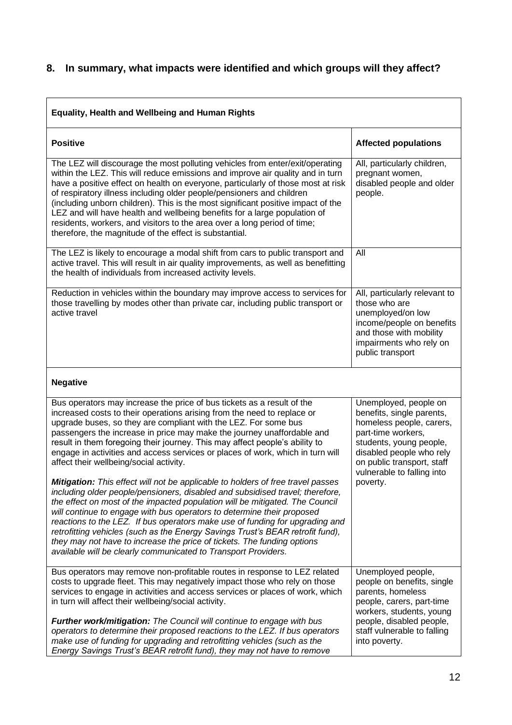# **8. In summary, what impacts were identified and which groups will they affect?**

| <b>Equality, Health and Wellbeing and Human Rights</b>                                                                                                                                                                                                                                                                                                                                                                                                                                                                                                                                                                                                                                                                                                         |                                                                                                                                                                                                                                     |  |
|----------------------------------------------------------------------------------------------------------------------------------------------------------------------------------------------------------------------------------------------------------------------------------------------------------------------------------------------------------------------------------------------------------------------------------------------------------------------------------------------------------------------------------------------------------------------------------------------------------------------------------------------------------------------------------------------------------------------------------------------------------------|-------------------------------------------------------------------------------------------------------------------------------------------------------------------------------------------------------------------------------------|--|
| <b>Positive</b>                                                                                                                                                                                                                                                                                                                                                                                                                                                                                                                                                                                                                                                                                                                                                | <b>Affected populations</b>                                                                                                                                                                                                         |  |
| The LEZ will discourage the most polluting vehicles from enter/exit/operating<br>within the LEZ. This will reduce emissions and improve air quality and in turn<br>have a positive effect on health on everyone, particularly of those most at risk<br>of respiratory illness including older people/pensioners and children<br>(including unborn children). This is the most significant positive impact of the<br>LEZ and will have health and wellbeing benefits for a large population of<br>residents, workers, and visitors to the area over a long period of time;<br>therefore, the magnitude of the effect is substantial.                                                                                                                            | All, particularly children,<br>pregnant women,<br>disabled people and older<br>people.                                                                                                                                              |  |
| The LEZ is likely to encourage a modal shift from cars to public transport and<br>active travel. This will result in air quality improvements, as well as benefitting<br>the health of individuals from increased activity levels.                                                                                                                                                                                                                                                                                                                                                                                                                                                                                                                             | All                                                                                                                                                                                                                                 |  |
| Reduction in vehicles within the boundary may improve access to services for<br>those travelling by modes other than private car, including public transport or<br>active travel                                                                                                                                                                                                                                                                                                                                                                                                                                                                                                                                                                               | All, particularly relevant to<br>those who are<br>unemployed/on low<br>income/people on benefits<br>and those with mobility<br>impairments who rely on<br>public transport                                                          |  |
| <b>Negative</b>                                                                                                                                                                                                                                                                                                                                                                                                                                                                                                                                                                                                                                                                                                                                                |                                                                                                                                                                                                                                     |  |
| Bus operators may increase the price of bus tickets as a result of the<br>increased costs to their operations arising from the need to replace or<br>upgrade buses, so they are compliant with the LEZ. For some bus<br>passengers the increase in price may make the journey unaffordable and<br>result in them foregoing their journey. This may affect people's ability to<br>engage in activities and access services or places of work, which in turn will<br>affect their wellbeing/social activity.<br>Mitigation: This effect will not be applicable to holders of free travel passes<br>including older people/pensioners, disabled and subsidised travel; therefore,<br>the effect on most of the impacted population will be mitigated. The Council | Unemployed, people on<br>benefits, single parents,<br>homeless people, carers,<br>part-time workers,<br>students, young people,<br>disabled people who rely<br>on public transport, staff<br>vulnerable to falling into<br>poverty. |  |
| will continue to engage with bus operators to determine their proposed<br>reactions to the LEZ. If bus operators make use of funding for upgrading and<br>retrofitting vehicles (such as the Energy Savings Trust's BEAR retrofit fund),<br>they may not have to increase the price of tickets. The funding options<br>available will be clearly communicated to Transport Providers.                                                                                                                                                                                                                                                                                                                                                                          |                                                                                                                                                                                                                                     |  |
| Bus operators may remove non-profitable routes in response to LEZ related<br>costs to upgrade fleet. This may negatively impact those who rely on those<br>services to engage in activities and access services or places of work, which<br>in turn will affect their wellbeing/social activity.                                                                                                                                                                                                                                                                                                                                                                                                                                                               | Unemployed people,<br>people on benefits, single<br>parents, homeless<br>people, carers, part-time<br>workers, students, young                                                                                                      |  |
| Further work/mitigation: The Council will continue to engage with bus<br>operators to determine their proposed reactions to the LEZ. If bus operators<br>make use of funding for upgrading and retrofitting vehicles (such as the<br>Energy Savings Trust's BEAR retrofit fund), they may not have to remove                                                                                                                                                                                                                                                                                                                                                                                                                                                   | people, disabled people,<br>staff vulnerable to falling<br>into poverty.                                                                                                                                                            |  |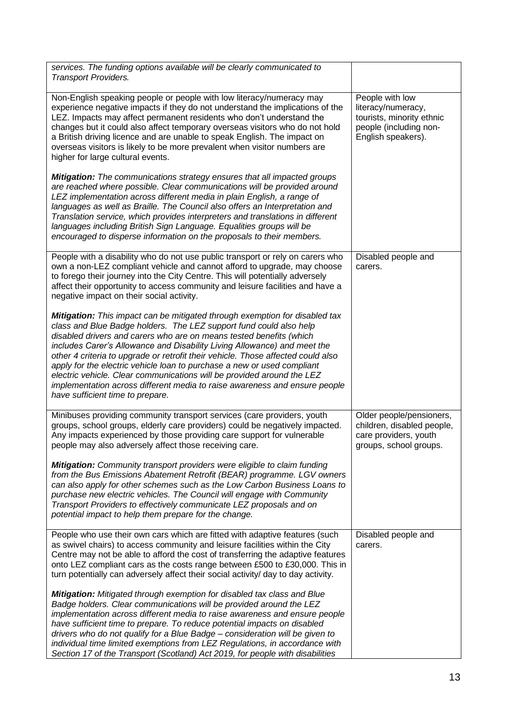| services. The funding options available will be clearly communicated to<br><b>Transport Providers.</b>                                                                                                                                                                                                                                                                                                                                                                                                                                                                                                                                                          |                                                                                                                    |
|-----------------------------------------------------------------------------------------------------------------------------------------------------------------------------------------------------------------------------------------------------------------------------------------------------------------------------------------------------------------------------------------------------------------------------------------------------------------------------------------------------------------------------------------------------------------------------------------------------------------------------------------------------------------|--------------------------------------------------------------------------------------------------------------------|
| Non-English speaking people or people with low literacy/numeracy may<br>experience negative impacts if they do not understand the implications of the<br>LEZ. Impacts may affect permanent residents who don't understand the<br>changes but it could also affect temporary overseas visitors who do not hold<br>a British driving licence and are unable to speak English. The impact on<br>overseas visitors is likely to be more prevalent when visitor numbers are<br>higher for large cultural events.                                                                                                                                                     | People with low<br>literacy/numeracy,<br>tourists, minority ethnic<br>people (including non-<br>English speakers). |
| <b>Mitigation:</b> The communications strategy ensures that all impacted groups<br>are reached where possible. Clear communications will be provided around<br>LEZ implementation across different media in plain English, a range of<br>languages as well as Braille. The Council also offers an Interpretation and<br>Translation service, which provides interpreters and translations in different<br>languages including British Sign Language. Equalities groups will be<br>encouraged to disperse information on the proposals to their members.                                                                                                         |                                                                                                                    |
| People with a disability who do not use public transport or rely on carers who<br>own a non-LEZ compliant vehicle and cannot afford to upgrade, may choose<br>to forego their journey into the City Centre. This will potentially adversely<br>affect their opportunity to access community and leisure facilities and have a<br>negative impact on their social activity.                                                                                                                                                                                                                                                                                      | Disabled people and<br>carers.                                                                                     |
| Mitigation: This impact can be mitigated through exemption for disabled tax<br>class and Blue Badge holders. The LEZ support fund could also help<br>disabled drivers and carers who are on means tested benefits (which<br>includes Carer's Allowance and Disability Living Allowance) and meet the<br>other 4 criteria to upgrade or retrofit their vehicle. Those affected could also<br>apply for the electric vehicle loan to purchase a new or used compliant<br>electric vehicle. Clear communications will be provided around the LEZ<br>implementation across different media to raise awareness and ensure people<br>have sufficient time to prepare. |                                                                                                                    |
| Minibuses providing community transport services (care providers, youth<br>groups, school groups, elderly care providers) could be negatively impacted.<br>Any impacts experienced by those providing care support for vulnerable<br>people may also adversely affect those receiving care.                                                                                                                                                                                                                                                                                                                                                                     | Older people/pensioners,<br>children, disabled people,<br>care providers, youth<br>groups, school groups.          |
| Mitigation: Community transport providers were eligible to claim funding<br>from the Bus Emissions Abatement Retrofit (BEAR) programme. LGV owners<br>can also apply for other schemes such as the Low Carbon Business Loans to<br>purchase new electric vehicles. The Council will engage with Community<br>Transport Providers to effectively communicate LEZ proposals and on<br>potential impact to help them prepare for the change.                                                                                                                                                                                                                       |                                                                                                                    |
| People who use their own cars which are fitted with adaptive features (such<br>as swivel chairs) to access community and leisure facilities within the City<br>Centre may not be able to afford the cost of transferring the adaptive features<br>onto LEZ compliant cars as the costs range between £500 to £30,000. This in<br>turn potentially can adversely affect their social activity/ day to day activity.                                                                                                                                                                                                                                              | Disabled people and<br>carers.                                                                                     |
| Mitigation: Mitigated through exemption for disabled tax class and Blue<br>Badge holders. Clear communications will be provided around the LEZ<br>implementation across different media to raise awareness and ensure people<br>have sufficient time to prepare. To reduce potential impacts on disabled<br>drivers who do not qualify for a Blue Badge - consideration will be given to<br>individual time limited exemptions from LEZ Regulations, in accordance with<br>Section 17 of the Transport (Scotland) Act 2019, for people with disabilities                                                                                                        |                                                                                                                    |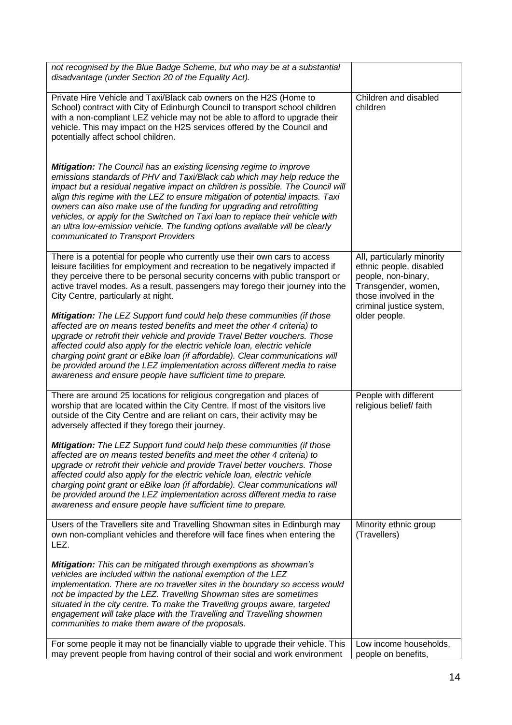| not recognised by the Blue Badge Scheme, but who may be at a substantial<br>disadvantage (under Section 20 of the Equality Act).                                                                                                                                                                                                                                                                                                                                                                                                                                                                              |                                                                                                                                                          |
|---------------------------------------------------------------------------------------------------------------------------------------------------------------------------------------------------------------------------------------------------------------------------------------------------------------------------------------------------------------------------------------------------------------------------------------------------------------------------------------------------------------------------------------------------------------------------------------------------------------|----------------------------------------------------------------------------------------------------------------------------------------------------------|
| Private Hire Vehicle and Taxi/Black cab owners on the H2S (Home to<br>School) contract with City of Edinburgh Council to transport school children<br>with a non-compliant LEZ vehicle may not be able to afford to upgrade their<br>vehicle. This may impact on the H2S services offered by the Council and<br>potentially affect school children.                                                                                                                                                                                                                                                           | Children and disabled<br>children                                                                                                                        |
| <b>Mitigation:</b> The Council has an existing licensing regime to improve<br>emissions standards of PHV and Taxi/Black cab which may help reduce the<br>impact but a residual negative impact on children is possible. The Council will<br>align this regime with the LEZ to ensure mitigation of potential impacts. Taxi<br>owners can also make use of the funding for upgrading and retrofitting<br>vehicles, or apply for the Switched on Taxi loan to replace their vehicle with<br>an ultra low-emission vehicle. The funding options available will be clearly<br>communicated to Transport Providers |                                                                                                                                                          |
| There is a potential for people who currently use their own cars to access<br>leisure facilities for employment and recreation to be negatively impacted if<br>they perceive there to be personal security concerns with public transport or<br>active travel modes. As a result, passengers may forego their journey into the<br>City Centre, particularly at night.                                                                                                                                                                                                                                         | All, particularly minority<br>ethnic people, disabled<br>people, non-binary,<br>Transgender, women,<br>those involved in the<br>criminal justice system, |
| Mitigation: The LEZ Support fund could help these communities (if those<br>affected are on means tested benefits and meet the other 4 criteria) to<br>upgrade or retrofit their vehicle and provide Travel Better vouchers. Those<br>affected could also apply for the electric vehicle loan, electric vehicle<br>charging point grant or eBike loan (if affordable). Clear communications will<br>be provided around the LEZ implementation across different media to raise<br>awareness and ensure people have sufficient time to prepare.                                                                  | older people.                                                                                                                                            |
| There are around 25 locations for religious congregation and places of<br>worship that are located within the City Centre. If most of the visitors live<br>outside of the City Centre and are reliant on cars, their activity may be<br>adversely affected if they forego their journey.                                                                                                                                                                                                                                                                                                                      | People with different<br>religious belief/ faith                                                                                                         |
| Mitigation: The LEZ Support fund could help these communities (if those<br>affected are on means tested benefits and meet the other 4 criteria) to<br>upgrade or retrofit their vehicle and provide Travel better vouchers. Those<br>affected could also apply for the electric vehicle loan, electric vehicle<br>charging point grant or eBike loan (if affordable). Clear communications will<br>be provided around the LEZ implementation across different media to raise<br>awareness and ensure people have sufficient time to prepare.                                                                  |                                                                                                                                                          |
| Users of the Travellers site and Travelling Showman sites in Edinburgh may<br>own non-compliant vehicles and therefore will face fines when entering the<br>LEZ.                                                                                                                                                                                                                                                                                                                                                                                                                                              | Minority ethnic group<br>(Travellers)                                                                                                                    |
| <b>Mitigation:</b> This can be mitigated through exemptions as showman's<br>vehicles are included within the national exemption of the LEZ<br>implementation. There are no traveller sites in the boundary so access would<br>not be impacted by the LEZ. Travelling Showman sites are sometimes<br>situated in the city centre. To make the Travelling groups aware, targeted<br>engagement will take place with the Travelling and Travelling showmen<br>communities to make them aware of the proposals.                                                                                                   |                                                                                                                                                          |
| For some people it may not be financially viable to upgrade their vehicle. This<br>may prevent people from having control of their social and work environment                                                                                                                                                                                                                                                                                                                                                                                                                                                | Low income households,<br>people on benefits,                                                                                                            |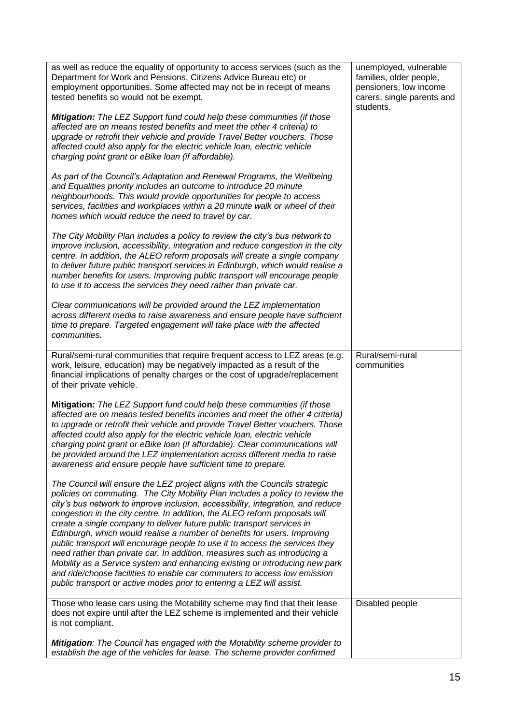| as well as reduce the equality of opportunity to access services (such as the<br>Department for Work and Pensions, Citizens Advice Bureau etc) or<br>employment opportunities. Some affected may not be in receipt of means<br>tested benefits so would not be exempt.<br>Mitigation: The LEZ Support fund could help these communities (if those<br>affected are on means tested benefits and meet the other 4 criteria) to<br>upgrade or retrofit their vehicle and provide Travel Better vouchers. Those<br>affected could also apply for the electric vehicle loan, electric vehicle<br>charging point grant or eBike loan (if affordable).                                                                                                                                                                                                                                      | unemployed, vulnerable<br>families, older people,<br>pensioners, low income<br>carers, single parents and<br>students. |
|--------------------------------------------------------------------------------------------------------------------------------------------------------------------------------------------------------------------------------------------------------------------------------------------------------------------------------------------------------------------------------------------------------------------------------------------------------------------------------------------------------------------------------------------------------------------------------------------------------------------------------------------------------------------------------------------------------------------------------------------------------------------------------------------------------------------------------------------------------------------------------------|------------------------------------------------------------------------------------------------------------------------|
| As part of the Council's Adaptation and Renewal Programs, the Wellbeing<br>and Equalities priority includes an outcome to introduce 20 minute<br>neighbourhoods. This would provide opportunities for people to access<br>services, facilities and workplaces within a 20 minute walk or wheel of their<br>homes which would reduce the need to travel by car.                                                                                                                                                                                                                                                                                                                                                                                                                                                                                                                       |                                                                                                                        |
| The City Mobility Plan includes a policy to review the city's bus network to<br>improve inclusion, accessibility, integration and reduce congestion in the city<br>centre. In addition, the ALEO reform proposals will create a single company<br>to deliver future public transport services in Edinburgh, which would realise a<br>number benefits for users. Improving public transport will encourage people<br>to use it to access the services they need rather than private car.                                                                                                                                                                                                                                                                                                                                                                                              |                                                                                                                        |
| Clear communications will be provided around the LEZ implementation<br>across different media to raise awareness and ensure people have sufficient<br>time to prepare. Targeted engagement will take place with the affected<br>communities.                                                                                                                                                                                                                                                                                                                                                                                                                                                                                                                                                                                                                                         |                                                                                                                        |
| Rural/semi-rural communities that require frequent access to LEZ areas (e.g.<br>work, leisure, education) may be negatively impacted as a result of the<br>financial implications of penalty charges or the cost of upgrade/replacement<br>of their private vehicle.                                                                                                                                                                                                                                                                                                                                                                                                                                                                                                                                                                                                                 | Rural/semi-rural<br>communities                                                                                        |
| Mitigation: The LEZ Support fund could help these communities (if those<br>affected are on means tested benefits incomes and meet the other 4 criteria)<br>to upgrade or retrofit their vehicle and provide Travel Better vouchers. Those<br>affected could also apply for the electric vehicle loan, electric vehicle<br>charging point grant or eBike loan (if affordable). Clear communications will<br>be provided around the LEZ implementation across different media to raise<br>awareness and ensure people have sufficient time to prepare.                                                                                                                                                                                                                                                                                                                                 |                                                                                                                        |
| The Council will ensure the LEZ project aligns with the Councils strategic<br>policies on commuting. The City Mobility Plan includes a policy to review the<br>city's bus network to improve inclusion, accessibility, integration, and reduce<br>congestion in the city centre. In addition, the ALEO reform proposals will<br>create a single company to deliver future public transport services in<br>Edinburgh, which would realise a number of benefits for users. Improving<br>public transport will encourage people to use it to access the services they<br>need rather than private car. In addition, measures such as introducing a<br>Mobility as a Service system and enhancing existing or introducing new park<br>and ride/choose facilities to enable car commuters to access low emission<br>public transport or active modes prior to entering a LEZ will assist. |                                                                                                                        |
| Those who lease cars using the Motability scheme may find that their lease<br>does not expire until after the LEZ scheme is implemented and their vehicle<br>is not compliant.                                                                                                                                                                                                                                                                                                                                                                                                                                                                                                                                                                                                                                                                                                       | Disabled people                                                                                                        |
| Mitigation: The Council has engaged with the Motability scheme provider to<br>establish the age of the vehicles for lease. The scheme provider confirmed                                                                                                                                                                                                                                                                                                                                                                                                                                                                                                                                                                                                                                                                                                                             |                                                                                                                        |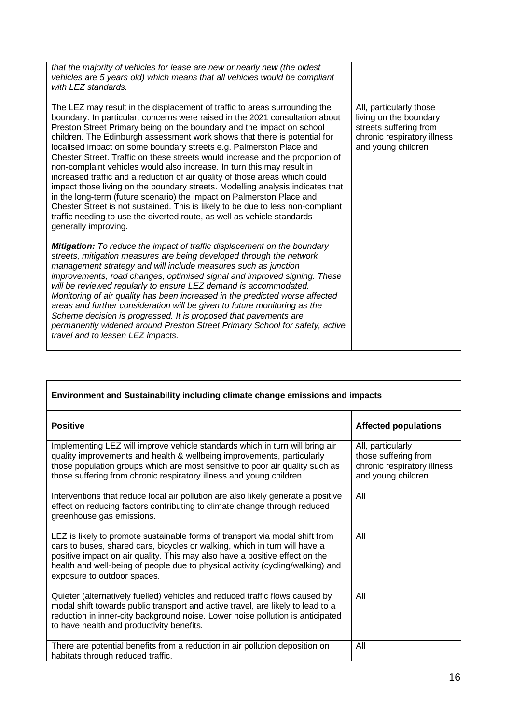| that the majority of vehicles for lease are new or nearly new (the oldest<br>vehicles are 5 years old) which means that all vehicles would be compliant<br>with LEZ standards.                                                                                                                                                                                                                                                                                                                                                                                                                                                                                                                                                                                                                                                                                                                                                                                                     |                                                                                                                                  |
|------------------------------------------------------------------------------------------------------------------------------------------------------------------------------------------------------------------------------------------------------------------------------------------------------------------------------------------------------------------------------------------------------------------------------------------------------------------------------------------------------------------------------------------------------------------------------------------------------------------------------------------------------------------------------------------------------------------------------------------------------------------------------------------------------------------------------------------------------------------------------------------------------------------------------------------------------------------------------------|----------------------------------------------------------------------------------------------------------------------------------|
| The LEZ may result in the displacement of traffic to areas surrounding the<br>boundary. In particular, concerns were raised in the 2021 consultation about<br>Preston Street Primary being on the boundary and the impact on school<br>children. The Edinburgh assessment work shows that there is potential for<br>localised impact on some boundary streets e.g. Palmerston Place and<br>Chester Street. Traffic on these streets would increase and the proportion of<br>non-complaint vehicles would also increase. In turn this may result in<br>increased traffic and a reduction of air quality of those areas which could<br>impact those living on the boundary streets. Modelling analysis indicates that<br>in the long-term (future scenario) the impact on Palmerston Place and<br>Chester Street is not sustained. This is likely to be due to less non-compliant<br>traffic needing to use the diverted route, as well as vehicle standards<br>generally improving. | All, particularly those<br>living on the boundary<br>streets suffering from<br>chronic respiratory illness<br>and young children |
| <b>Mitigation:</b> To reduce the impact of traffic displacement on the boundary<br>streets, mitigation measures are being developed through the network<br>management strategy and will include measures such as junction<br>improvements, road changes, optimised signal and improved signing. These<br>will be reviewed regularly to ensure LEZ demand is accommodated.<br>Monitoring of air quality has been increased in the predicted worse affected<br>areas and further consideration will be given to future monitoring as the<br>Scheme decision is progressed. It is proposed that pavements are<br>permanently widened around Preston Street Primary School for safety, active<br>travel and to lessen LEZ impacts.                                                                                                                                                                                                                                                     |                                                                                                                                  |

| Environment and Sustainability including climate change emissions and impacts                                                                                                                                                                                                                                                                              |                                                                                                 |  |
|------------------------------------------------------------------------------------------------------------------------------------------------------------------------------------------------------------------------------------------------------------------------------------------------------------------------------------------------------------|-------------------------------------------------------------------------------------------------|--|
| <b>Positive</b>                                                                                                                                                                                                                                                                                                                                            | <b>Affected populations</b>                                                                     |  |
| Implementing LEZ will improve vehicle standards which in turn will bring air<br>quality improvements and health & wellbeing improvements, particularly<br>those population groups which are most sensitive to poor air quality such as<br>those suffering from chronic respiratory illness and young children.                                             | All, particularly<br>those suffering from<br>chronic respiratory illness<br>and young children. |  |
| Interventions that reduce local air pollution are also likely generate a positive<br>effect on reducing factors contributing to climate change through reduced<br>greenhouse gas emissions.                                                                                                                                                                | All                                                                                             |  |
| LEZ is likely to promote sustainable forms of transport via modal shift from<br>cars to buses, shared cars, bicycles or walking, which in turn will have a<br>positive impact on air quality. This may also have a positive effect on the<br>health and well-being of people due to physical activity (cycling/walking) and<br>exposure to outdoor spaces. | All                                                                                             |  |
| Quieter (alternatively fuelled) vehicles and reduced traffic flows caused by<br>modal shift towards public transport and active travel, are likely to lead to a<br>reduction in inner-city background noise. Lower noise pollution is anticipated<br>to have health and productivity benefits.                                                             | All                                                                                             |  |
| There are potential benefits from a reduction in air pollution deposition on<br>habitats through reduced traffic.                                                                                                                                                                                                                                          | All                                                                                             |  |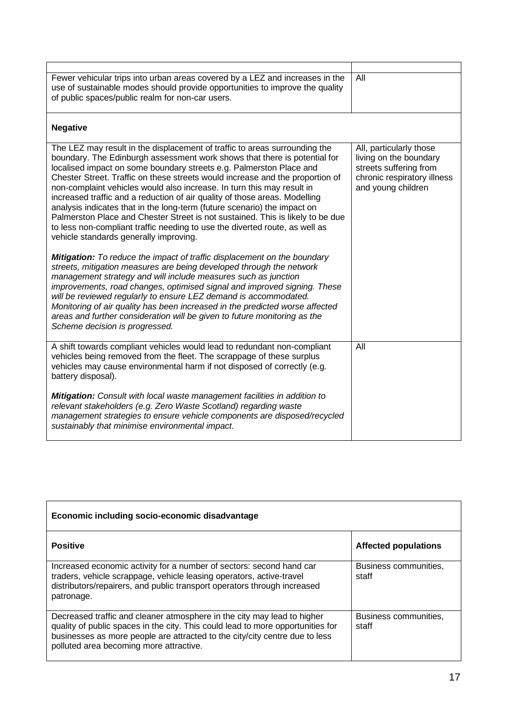| Fewer vehicular trips into urban areas covered by a LEZ and increases in the<br>use of sustainable modes should provide opportunities to improve the quality<br>of public spaces/public realm for non-car users.                                                                                                                                                                                                                                                                                                                                                                                                                                                                                                                                               | All                                                                                                                              |
|----------------------------------------------------------------------------------------------------------------------------------------------------------------------------------------------------------------------------------------------------------------------------------------------------------------------------------------------------------------------------------------------------------------------------------------------------------------------------------------------------------------------------------------------------------------------------------------------------------------------------------------------------------------------------------------------------------------------------------------------------------------|----------------------------------------------------------------------------------------------------------------------------------|
| <b>Negative</b>                                                                                                                                                                                                                                                                                                                                                                                                                                                                                                                                                                                                                                                                                                                                                |                                                                                                                                  |
| The LEZ may result in the displacement of traffic to areas surrounding the<br>boundary. The Edinburgh assessment work shows that there is potential for<br>localised impact on some boundary streets e.g. Palmerston Place and<br>Chester Street. Traffic on these streets would increase and the proportion of<br>non-complaint vehicles would also increase. In turn this may result in<br>increased traffic and a reduction of air quality of those areas. Modelling<br>analysis indicates that in the long-term (future scenario) the impact on<br>Palmerston Place and Chester Street is not sustained. This is likely to be due<br>to less non-compliant traffic needing to use the diverted route, as well as<br>vehicle standards generally improving. | All, particularly those<br>living on the boundary<br>streets suffering from<br>chronic respiratory illness<br>and young children |
| <b>Mitigation:</b> To reduce the impact of traffic displacement on the boundary<br>streets, mitigation measures are being developed through the network<br>management strategy and will include measures such as junction<br>improvements, road changes, optimised signal and improved signing. These<br>will be reviewed regularly to ensure LEZ demand is accommodated.<br>Monitoring of air quality has been increased in the predicted worse affected<br>areas and further consideration will be given to future monitoring as the<br>Scheme decision is progressed.                                                                                                                                                                                       |                                                                                                                                  |
| A shift towards compliant vehicles would lead to redundant non-compliant<br>vehicles being removed from the fleet. The scrappage of these surplus<br>vehicles may cause environmental harm if not disposed of correctly (e.g.<br>battery disposal).                                                                                                                                                                                                                                                                                                                                                                                                                                                                                                            | All                                                                                                                              |
| Mitigation: Consult with local waste management facilities in addition to<br>relevant stakeholders (e.g. Zero Waste Scotland) regarding waste<br>management strategies to ensure vehicle components are disposed/recycled<br>sustainably that minimise environmental impact.                                                                                                                                                                                                                                                                                                                                                                                                                                                                                   |                                                                                                                                  |

| Economic including socio-economic disadvantage                                                                                                                                                                                                                                       |                                |  |
|--------------------------------------------------------------------------------------------------------------------------------------------------------------------------------------------------------------------------------------------------------------------------------------|--------------------------------|--|
| <b>Positive</b>                                                                                                                                                                                                                                                                      | <b>Affected populations</b>    |  |
| Increased economic activity for a number of sectors: second hand car<br>traders, vehicle scrappage, vehicle leasing operators, active-travel<br>distributors/repairers, and public transport operators through increased<br>patronage.                                               | Business communities.<br>staff |  |
| Decreased traffic and cleaner atmosphere in the city may lead to higher<br>quality of public spaces in the city. This could lead to more opportunities for<br>businesses as more people are attracted to the city/city centre due to less<br>polluted area becoming more attractive. | Business communities,<br>staff |  |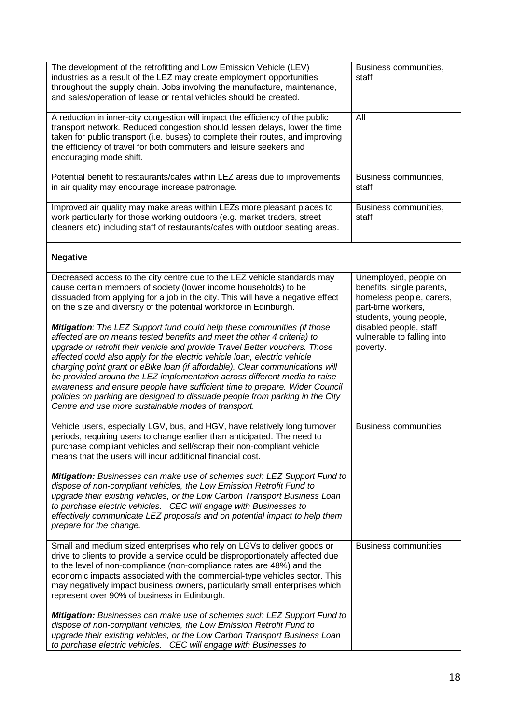| The development of the retrofitting and Low Emission Vehicle (LEV)<br>industries as a result of the LEZ may create employment opportunities<br>throughout the supply chain. Jobs involving the manufacture, maintenance,<br>and sales/operation of lease or rental vehicles should be created.                                                                                                                                                                                                                                                                                                                                                                                                    | Business communities,<br>staff                                                                                                  |  |
|---------------------------------------------------------------------------------------------------------------------------------------------------------------------------------------------------------------------------------------------------------------------------------------------------------------------------------------------------------------------------------------------------------------------------------------------------------------------------------------------------------------------------------------------------------------------------------------------------------------------------------------------------------------------------------------------------|---------------------------------------------------------------------------------------------------------------------------------|--|
| A reduction in inner-city congestion will impact the efficiency of the public<br>transport network. Reduced congestion should lessen delays, lower the time<br>taken for public transport (i.e. buses) to complete their routes, and improving<br>the efficiency of travel for both commuters and leisure seekers and<br>encouraging mode shift.                                                                                                                                                                                                                                                                                                                                                  | All                                                                                                                             |  |
| Potential benefit to restaurants/cafes within LEZ areas due to improvements<br>in air quality may encourage increase patronage.                                                                                                                                                                                                                                                                                                                                                                                                                                                                                                                                                                   | Business communities,<br>staff                                                                                                  |  |
| Improved air quality may make areas within LEZs more pleasant places to<br>work particularly for those working outdoors (e.g. market traders, street<br>cleaners etc) including staff of restaurants/cafes with outdoor seating areas.                                                                                                                                                                                                                                                                                                                                                                                                                                                            | Business communities,<br>staff                                                                                                  |  |
| <b>Negative</b>                                                                                                                                                                                                                                                                                                                                                                                                                                                                                                                                                                                                                                                                                   |                                                                                                                                 |  |
| Decreased access to the city centre due to the LEZ vehicle standards may<br>cause certain members of society (lower income households) to be<br>dissuaded from applying for a job in the city. This will have a negative effect<br>on the size and diversity of the potential workforce in Edinburgh.                                                                                                                                                                                                                                                                                                                                                                                             | Unemployed, people on<br>benefits, single parents,<br>homeless people, carers,<br>part-time workers,<br>students, young people, |  |
| Mitigation: The LEZ Support fund could help these communities (if those<br>affected are on means tested benefits and meet the other 4 criteria) to<br>upgrade or retrofit their vehicle and provide Travel Better vouchers. Those<br>affected could also apply for the electric vehicle loan, electric vehicle<br>charging point grant or eBike loan (if affordable). Clear communications will<br>be provided around the LEZ implementation across different media to raise<br>awareness and ensure people have sufficient time to prepare. Wider Council<br>policies on parking are designed to dissuade people from parking in the City<br>Centre and use more sustainable modes of transport. | disabled people, staff<br>vulnerable to falling into<br>poverty.                                                                |  |
| Vehicle users, especially LGV, bus, and HGV, have relatively long turnover<br>periods, requiring users to change earlier than anticipated. The need to<br>purchase compliant vehicles and sell/scrap their non-compliant vehicle<br>means that the users will incur additional financial cost.                                                                                                                                                                                                                                                                                                                                                                                                    | <b>Business communities</b>                                                                                                     |  |
| <b>Mitigation:</b> Businesses can make use of schemes such LEZ Support Fund to<br>dispose of non-compliant vehicles, the Low Emission Retrofit Fund to<br>upgrade their existing vehicles, or the Low Carbon Transport Business Loan<br>to purchase electric vehicles. CEC will engage with Businesses to<br>effectively communicate LEZ proposals and on potential impact to help them<br>prepare for the change.                                                                                                                                                                                                                                                                                |                                                                                                                                 |  |
| Small and medium sized enterprises who rely on LGVs to deliver goods or<br>drive to clients to provide a service could be disproportionately affected due<br>to the level of non-compliance (non-compliance rates are 48%) and the<br>economic impacts associated with the commercial-type vehicles sector. This<br>may negatively impact business owners, particularly small enterprises which<br>represent over 90% of business in Edinburgh.                                                                                                                                                                                                                                                   | <b>Business communities</b>                                                                                                     |  |
| Mitigation: Businesses can make use of schemes such LEZ Support Fund to<br>dispose of non-compliant vehicles, the Low Emission Retrofit Fund to<br>upgrade their existing vehicles, or the Low Carbon Transport Business Loan<br>to purchase electric vehicles. CEC will engage with Businesses to                                                                                                                                                                                                                                                                                                                                                                                                |                                                                                                                                 |  |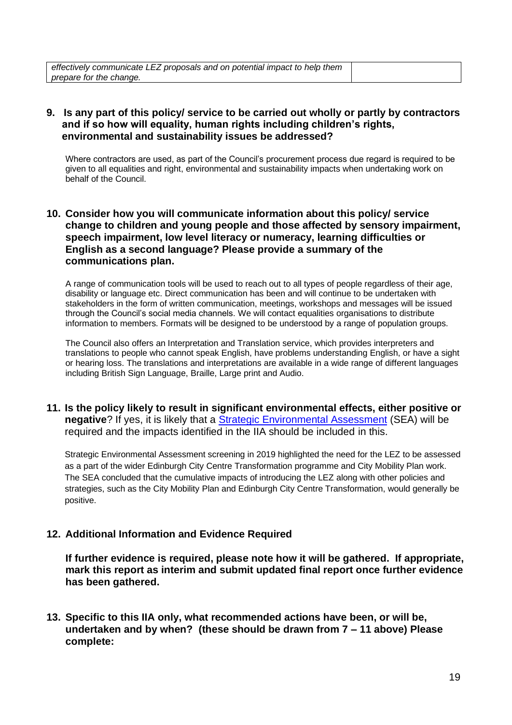| effectively communicate LEZ proposals and on potential impact to help them |  |
|----------------------------------------------------------------------------|--|
| prepare for the change.                                                    |  |

### **9. Is any part of this policy/ service to be carried out wholly or partly by contractors and if so how will equality, human rights including children's rights, environmental and sustainability issues be addressed?**

Where contractors are used, as part of the Council's procurement process due regard is required to be given to all equalities and right, environmental and sustainability impacts when undertaking work on behalf of the Council.

### **10. Consider how you will communicate information about this policy/ service change to children and young people and those affected by sensory impairment, speech impairment, low level literacy or numeracy, learning difficulties or English as a second language? Please provide a summary of the communications plan.**

A range of communication tools will be used to reach out to all types of people regardless of their age, disability or language etc. Direct communication has been and will continue to be undertaken with stakeholders in the form of written communication, meetings, workshops and messages will be issued through the Council's social media channels. We will contact equalities organisations to distribute information to members. Formats will be designed to be understood by a range of population groups.

The Council also offers an Interpretation and Translation service, which provides interpreters and translations to people who cannot speak English, have problems understanding English, or have a sight or hearing loss. The translations and interpretations are available in a wide range of different languages including British Sign Language, Braille, Large print and Audio.

**11. Is the policy likely to result in significant environmental effects, either positive or negative**? If yes, it is likely that a [Strategic Environmental Assessment](https://www.gov.scot/policies/environmental-assessment/strategic-environmental-assessment-sea/) (SEA) will be required and the impacts identified in the IIA should be included in this.

Strategic Environmental Assessment screening in 2019 highlighted the need for the LEZ to be assessed as a part of the wider Edinburgh City Centre Transformation programme and City Mobility Plan work. The SEA concluded that the cumulative impacts of introducing the LEZ along with other policies and strategies, such as the City Mobility Plan and Edinburgh City Centre Transformation, would generally be positive.

### **12. Additional Information and Evidence Required**

**If further evidence is required, please note how it will be gathered. If appropriate, mark this report as interim and submit updated final report once further evidence has been gathered.**

**13. Specific to this IIA only, what recommended actions have been, or will be, undertaken and by when? (these should be drawn from 7 – 11 above) Please complete:**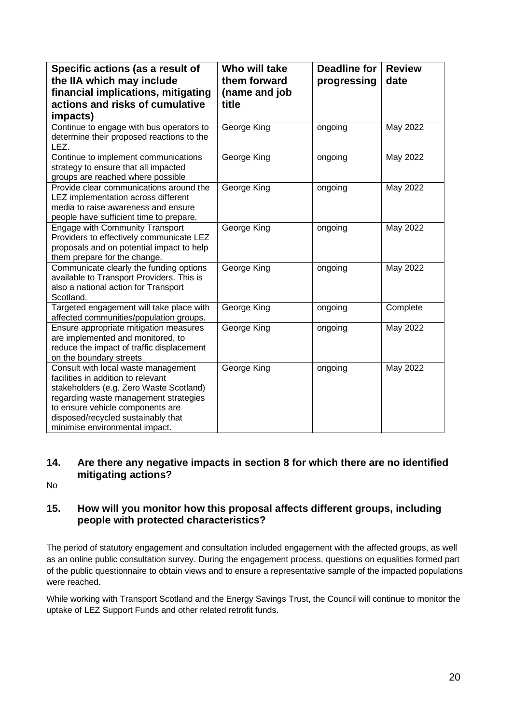| Specific actions (as a result of<br>the IIA which may include<br>financial implications, mitigating<br>actions and risks of cumulative                                                                                                                                    | Who will take<br>them forward<br>(name and job<br>title | <b>Deadline for</b><br>progressing | <b>Review</b><br>date |
|---------------------------------------------------------------------------------------------------------------------------------------------------------------------------------------------------------------------------------------------------------------------------|---------------------------------------------------------|------------------------------------|-----------------------|
| impacts)                                                                                                                                                                                                                                                                  |                                                         |                                    |                       |
| Continue to engage with bus operators to<br>determine their proposed reactions to the<br>LEZ.                                                                                                                                                                             | George King                                             | ongoing                            | <b>May 2022</b>       |
| Continue to implement communications<br>strategy to ensure that all impacted<br>groups are reached where possible                                                                                                                                                         | George King                                             | ongoing                            | May 2022              |
| Provide clear communications around the<br>LEZ implementation across different<br>media to raise awareness and ensure<br>people have sufficient time to prepare.                                                                                                          | George King                                             | ongoing                            | May 2022              |
| <b>Engage with Community Transport</b><br>Providers to effectively communicate LEZ<br>proposals and on potential impact to help<br>them prepare for the change.                                                                                                           | George King                                             | ongoing                            | May 2022              |
| Communicate clearly the funding options<br>available to Transport Providers. This is<br>also a national action for Transport<br>Scotland.                                                                                                                                 | George King                                             | ongoing                            | May 2022              |
| Targeted engagement will take place with<br>affected communities/population groups.                                                                                                                                                                                       | George King                                             | ongoing                            | Complete              |
| Ensure appropriate mitigation measures<br>are implemented and monitored, to<br>reduce the impact of traffic displacement<br>on the boundary streets                                                                                                                       | George King                                             | ongoing                            | May 2022              |
| Consult with local waste management<br>facilities in addition to relevant<br>stakeholders (e.g. Zero Waste Scotland)<br>regarding waste management strategies<br>to ensure vehicle components are<br>disposed/recycled sustainably that<br>minimise environmental impact. | George King                                             | ongoing                            | May 2022              |

## **14. Are there any negative impacts in section 8 for which there are no identified mitigating actions?**

No

### **15. How will you monitor how this proposal affects different groups, including people with protected characteristics?**

The period of statutory engagement and consultation included engagement with the affected groups, as well as an online public consultation survey. During the engagement process, questions on equalities formed part of the public questionnaire to obtain views and to ensure a representative sample of the impacted populations were reached.

While working with Transport Scotland and the Energy Savings Trust, the Council will continue to monitor the uptake of LEZ Support Funds and other related retrofit funds.